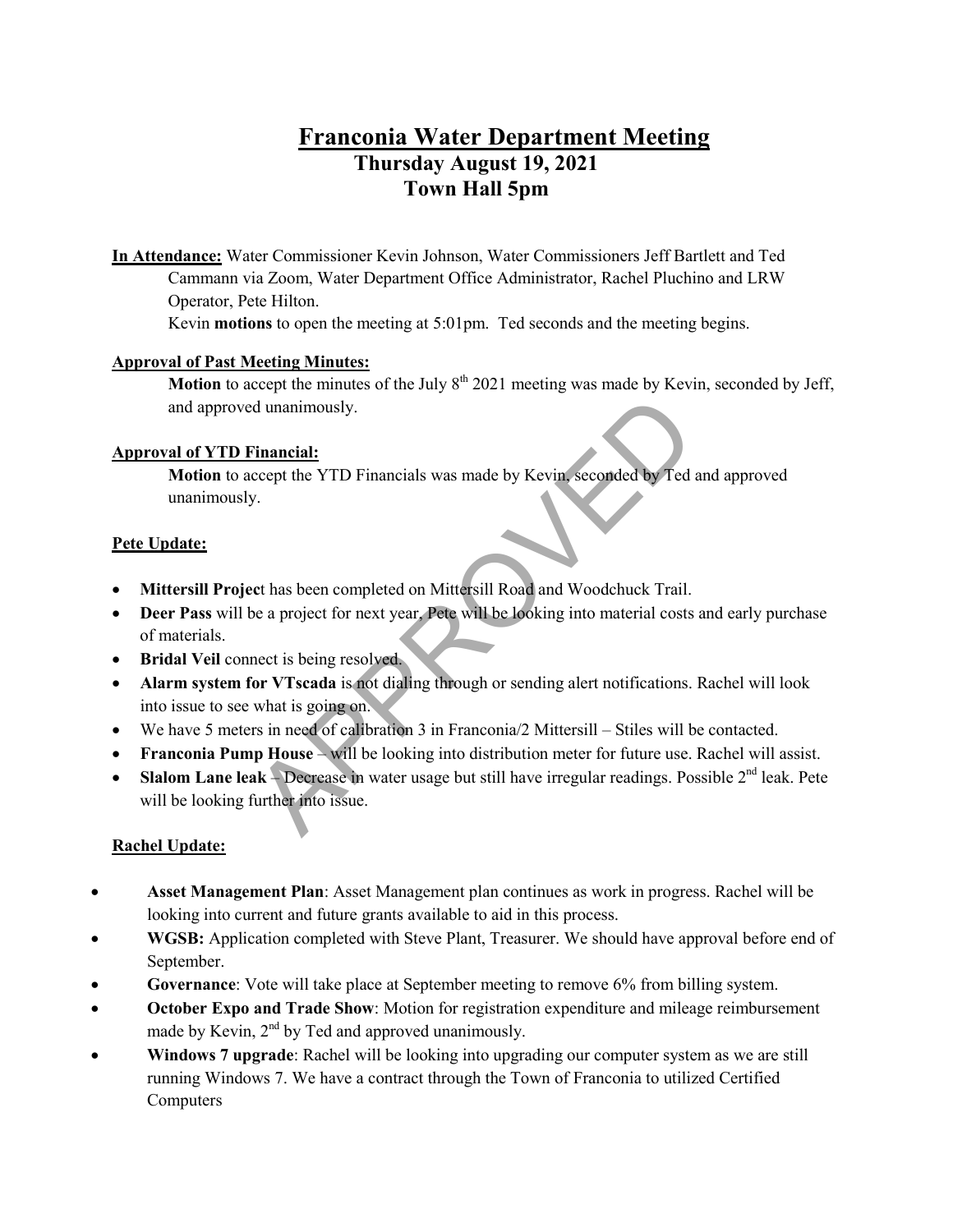# **Franconia Water Department Meeting Thursday August 19, 2021 Town Hall 5pm**

**In Attendance:** Water Commissioner Kevin Johnson, Water Commissioners Jeff Bartlett and Ted Cammann via Zoom, Water Department Office Administrator, Rachel Pluchino and LRW Operator, Pete Hilton.

Kevin **motions** to open the meeting at 5:01pm. Ted seconds and the meeting begins.

## **Approval of Past Meeting Minutes:**

**Motion** to accept the minutes of the July  $8<sup>th</sup> 2021$  meeting was made by Kevin, seconded by Jeff, and approved unanimously.

## **Approval of YTD Financial:**

**Motion** to accept the YTD Financials was made by Kevin, seconded by Ted and approved unanimously.

## **Pete Update:**

- **Mittersill Projec**t has been completed on Mittersill Road and Woodchuck Trail.
- **Deer Pass** will be a project for next year, Pete will be looking into material costs and early purchase of materials. d unanimously.<br>
Financial:<br>
ccept the YTD Financials was made by Kevin, seconded by Ted<br>
y.<br>
et has been completed on Mittersill Road and Woodchuck Trail.<br>
be a project for next year. Pete will be looking into material cos
- **Bridal Veil** connect is being resolved.
- **Alarm system for VTscada** is not dialing through or sending alert notifications. Rachel will look into issue to see what is going on.
- We have 5 meters in need of calibration 3 in Franconia/2 Mittersill Stiles will be contacted.
- **Franconia Pump House** will be looking into distribution meter for future use. Rachel will assist.
- **Slalom Lane leak Decrease in** water usage but still have irregular readings. Possible 2<sup>nd</sup> leak. Pete will be looking further into issue.

## **Rachel Update:**

- **Asset Management Plan**: Asset Management plan continues as work in progress. Rachel will be looking into current and future grants available to aid in this process.
- **WGSB:** Application completed with Steve Plant, Treasurer. We should have approval before end of September.
- **Governance**: Vote will take place at September meeting to remove 6% from billing system.
- **October Expo and Trade Show**: Motion for registration expenditure and mileage reimbursement made by Kevin, 2<sup>nd</sup> by Ted and approved unanimously.
- **Windows 7 upgrade**: Rachel will be looking into upgrading our computer system as we are still running Windows 7. We have a contract through the Town of Franconia to utilized Certified Computers